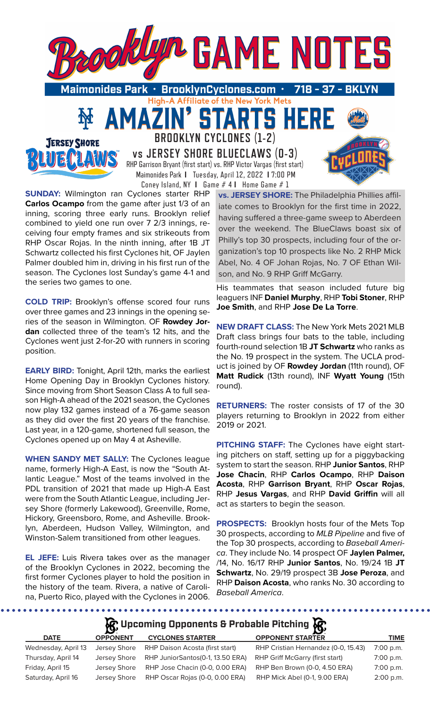

**BROOKLYN CYCLONES (1-2) vs JERSEY SHORE BLUECLAWS (0-3)**

RHP Garrison Bryant (first start) vs. RHP Victor Vargas (first start) Maimonides Park **I** Tuesday, April 12, 2022 **I** 7:00 PM Coney Island, NY **I** Game # 4 **I** Home Game # 1

**SUNDAY:** Wilmington ran Cyclones starter RHP **Carlos Ocampo** from the game after just 1/3 of an inning, scoring three early runs. Brooklyn relief combined to yield one run over 7 2/3 innings, receiving four empty frames and six strikeouts from RHP Oscar Rojas. In the ninth inning, after 1B JT Schwartz collected his first Cyclones hit, OF Jaylen Palmer doubled him in, driving in his first run of the season. The Cyclones lost Sunday's game 4-1 and the series two games to one.

**JERSEY SHORE** 

**COLD TRIP:** Brooklyn's offense scored four runs over three games and 23 innings in the opening series of the season in Wilmington. OF **Rowdey Jordan** collected three of the team's 12 hits, and the Cyclones went just 2-for-20 with runners in scoring position.

**EARLY BIRD:** Tonight, April 12th, marks the earliest Home Opening Day in Brooklyn Cyclones history. Since moving from Short Season Class A to full season High-A ahead of the 2021 season, the Cyclones now play 132 games instead of a 76-game season as they did over the first 20 years of the franchise. Last year, in a 120-game, shortened full season, the Cyclones opened up on May 4 at Asheville.

**WHEN SANDY MET SALLY:** The Cyclones league name, formerly High-A East, is now the "South Atlantic League." Most of the teams involved in the PDL transition of 2021 that made up High-A East were from the South Atlantic League, including Jersey Shore (formerly Lakewood), Greenville, Rome, Hickory, Greensboro, Rome, and Asheville. Brooklyn, Aberdeen, Hudson Valley, Wilmington, and Winston-Salem transitioned from other leagues.

**EL JEFE:** Luis Rivera takes over as the manager of the Brooklyn Cyclones in 2022, becoming the first former Cyclones player to hold the position in the history of the team. Rivera, a native of Carolina, Puerto Rico, played with the Cyclones in 2006.

**vs. JERSEY SHORE:** The Philadelphia Phillies affiliate comes to Brooklyn for the first time in 2022, having suffered a three-game sweep to Aberdeen over the weekend. The BlueClaws boast six of Philly's top 30 prospects, including four of the organization's top 10 prospects like No. 2 RHP Mick Abel, No. 4 OF Johan Rojas, No. 7 OF Ethan Wilson, and No. 9 RHP Griff McGarry.

His teammates that season included future big leaguers INF **Daniel Murphy**, RHP **Tobi Stoner**, RHP **Joe Smith**, and RHP **Jose De La Torre**.

**NEW DRAFT CLASS:** The New York Mets 2021 MLB Draft class brings four bats to the table, including fourth-round selection 1B **JT Schwartz** who ranks as the No. 19 prospect in the system. The UCLA product is joined by OF **Rowdey Jordan** (11th round), OF **Matt Rudick** (13th round), INF **Wyatt Young** (15th round).

**RETURNERS:** The roster consists of 17 of the 30 players returning to Brooklyn in 2022 from either 2019 or 2021.

**PITCHING STAFF:** The Cyclones have eight starting pitchers on staff, setting up for a piggybacking system to start the season. RHP **Junior Santos**, RHP **Jose Chacin**, RHP **Carlos Ocampo**, RHP **Daison Acosta**, RHP **Garrison Bryant**, RHP **Oscar Rojas**, RHP **Jesus Vargas**, and RHP **David Griffin** will all act as starters to begin the season.

**PROSPECTS:** Brooklyn hosts four of the Mets Top 30 prospects, according to *MLB Pipeline* and five of the Top 30 prospects, according to *Baseball America*. They include No. 14 prospect OF **Jaylen Palmer,** /14, No. 16/17 RHP **Junior Santos**, No. 19/24 1B **JT Schwartz**, No. 29/19 prospect 3B **Jose Peroza**, and RHP **Daison Acosta**, who ranks No. 30 according to *Baseball America*.

# **R** Upcoming Opponents & Probable Pitching

.....................................

| <b>DATE</b>         | <b>OPPONENT</b> | <b>CYCLONES STARTER</b>          | <b>OPPONENT STARTER</b>             | <b>TIME</b> |
|---------------------|-----------------|----------------------------------|-------------------------------------|-------------|
| Wednesday, April 13 | Jersey Shore    | RHP Daison Acosta (first start)  | RHP Cristian Hernandez (0-0, 15.43) | 7:00 p.m.   |
| Thursday, April 14  | Jersey Shore    | RHP JuniorSantos(0-1, 13.50 ERA) | RHP Griff McGarry (first start)     | 7:00 p.m.   |
| Friday, April 15    | Jersey Shore    | RHP Jose Chacin (0-0, 0.00 ERA)  | RHP Ben Brown (0-0, 4.50 ERA)       | $7:00$ p.m. |
| Saturday, April 16  | Jersey Shore    | RHP Oscar Rojas (0-0, 0.00 ERA)  | RHP Mick Abel (0-1, 9.00 ERA)       | $2:00$ p.m. |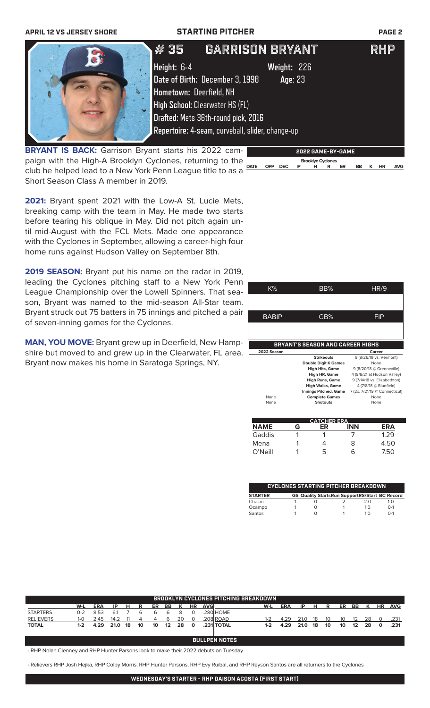| <b>APRIL 12 VS JERSEY SHORE</b>                             |                         | <b>STARTING PITCHER</b>                          | <b>PAGE 2</b> |
|-------------------------------------------------------------|-------------------------|--------------------------------------------------|---------------|
| $\sqrt{2}$                                                  | #35                     | <b>GARRISON BRYANT</b>                           | <b>RHP</b>    |
|                                                             | Height: 6-4             | Weight: 226                                      |               |
|                                                             |                         | Date of Birth: December 3, 1998<br>Age: 23       |               |
|                                                             | Hometown: Deerfield, NH |                                                  |               |
|                                                             |                         | <b>High School: Clearwater HS (FL)</b>           |               |
|                                                             |                         | Drafted: Mets 36th-round pick, 2016              |               |
|                                                             |                         | Repertoire: 4-seam, curveball, slider, change-up |               |
| <b>BRYANT IS BACK:</b> Garrison Bryant starts his 2022 cam- |                         | 2022 GAME-BY-GAME                                |               |

**BRYANT IS BACK:** Garrison Bryant starts his 2022 campaign with the High-A Brooklyn Cyclones, returning to the club he helped lead to a New York Penn League title to as a Short Season Class A member in 2019.

**2021:** Bryant spent 2021 with the Low-A St. Lucie Mets, breaking camp with the team in May. He made two starts before tearing his oblique in May. Did not pitch again until mid-August with the FCL Mets. Made one appearance with the Cyclones in September, allowing a career-high four home runs against Hudson Valley on September 8th.

**2019 SEASON:** Bryant put his name on the radar in 2019, leading the Cyclones pitching staff to a New York Penn League Championship over the Lowell Spinners. That season, Bryant was named to the mid-season All-Star team. Bryant struck out 75 batters in 75 innings and pitched a pair of seven-inning games for the Cyclones.

**MAN, YOU MOVE:** Bryant grew up in Deerfield, New Hampshire but moved to and grew up in the Clearwater, FL area. Bryant now makes his home in Saratoga Springs, NY.

| K%          | BB%                                     | HR/9                                                                                  |
|-------------|-----------------------------------------|---------------------------------------------------------------------------------------|
|             |                                         |                                                                                       |
| BABIP       | GB%                                     | FIP                                                                                   |
|             |                                         |                                                                                       |
|             |                                         |                                                                                       |
|             | <b>BRYANT'S SEASON AND CAREER HIGHS</b> |                                                                                       |
| 2022 Season |                                         | Career                                                                                |
|             | <b>Strikeouts</b>                       | 9 (8/26/19 vs. Vermont)                                                               |
|             | <b>Double Digit K Games</b>             | None                                                                                  |
|             | <b>High Hits, Game</b>                  |                                                                                       |
|             | High HR, Game                           | 9 (8/20/18 @ Greeneville)                                                             |
|             | <b>High Runs, Game</b>                  |                                                                                       |
|             | <b>High Walks, Game</b>                 | 4 (9/8/21 at Hudson Valley)<br>9 (7/14/18 vs. Elizabethton)<br>4 (7/8/18 @ Bluefield) |
|             | <b>Innings Pitched, Game</b>            |                                                                                       |
| None        | <b>Complete Games</b>                   | 7 (2x, 7/21/19 @ Connecticut)<br>None                                                 |

 **Brooklyn Cyclones** 

**DATE OPP DEC IP H R ER BB K HR AVG**

|             |   | <b>CATCHER ERA.</b> |            |      |
|-------------|---|---------------------|------------|------|
| <b>NAME</b> | G |                     | <b>INN</b> | ERA  |
| Gaddis      |   |                     |            | 1.29 |
| Mena        |   |                     | 8          | 4.50 |
| O'Neill     |   | 5                   | 6          | 7.50 |
|             |   |                     |            |      |

|                |  | <b>CYCLONES STARTING PITCHER BREAKDOWN</b>            |            |             |
|----------------|--|-------------------------------------------------------|------------|-------------|
| <b>STARTER</b> |  | <b>GS Quality StartsRun SupportRS/Start BC Record</b> |            |             |
| Chacin         |  |                                                       | 2 O        | 1- $\Omega$ |
| Ocampo         |  |                                                       | 1 $\Omega$ | $0 - 1$     |
| Santos         |  |                                                       | 1 በ        | $0 - 1$     |

|                  |         |            |      |    |    |    |                   |    |           |      | <b>BROOKLYN CYCLONES PITCHING BREAKDOWN</b> |       |            |      |    |    |    |    |    |           |            |
|------------------|---------|------------|------|----|----|----|-------------------|----|-----------|------|---------------------------------------------|-------|------------|------|----|----|----|----|----|-----------|------------|
|                  | W-L     | <b>ERA</b> | ΙP   | н  | R. | ER | BB                | к  | <b>HR</b> | AVGI |                                             | W-L   | <b>ERA</b> | IP   | н  | R  | ER | BB | к  | <b>HR</b> | <b>AVG</b> |
| <b>STARTERS</b>  | $0 - 2$ | 8.53       | 6.1  |    | 6  | h  | 6                 | 8  | $\Omega$  |      | .280 HOME                                   |       |            |      |    |    |    |    |    |           |            |
| <b>RELIEVERS</b> | $1 - 0$ | 2.45       | 14.2 |    |    | 4  | 6                 | 20 | $\Omega$  |      | .208 ROAD                                   | 1-2   | 4.29       | 21.0 | 18 | 10 | 10 | 12 | 28 |           | .231       |
| <b>TOTAL</b>     | $1-2$   | 4.29       | 21.0 | 18 | 10 | 10 | $12 \overline{ }$ | 28 | $\Omega$  |      | .231 TOTAL                                  | $1-2$ | 4.29       | 21.0 | 18 | 10 | 10 | 12 | 28 | $\Omega$  | .231       |
|                  |         |            |      |    |    |    |                   |    |           |      |                                             |       |            |      |    |    |    |    |    |           |            |
|                  |         |            |      |    |    |    |                   |    |           |      | <b>BULLPEN NOTES</b>                        |       |            |      |    |    |    |    |    |           |            |
|                  |         |            |      |    |    |    |                   |    |           |      |                                             |       |            |      |    |    |    |    |    |           |            |

- RHP Nolan Clenney and RHP Hunter Parsons look to make their 2022 debuts on Tuesday

- Relievers RHP Josh Hejka, RHP Colby Morris, RHP Hunter Parsons, RHP Evy Ruibal, and RHP Reyson Santos are all returners to the Cyclones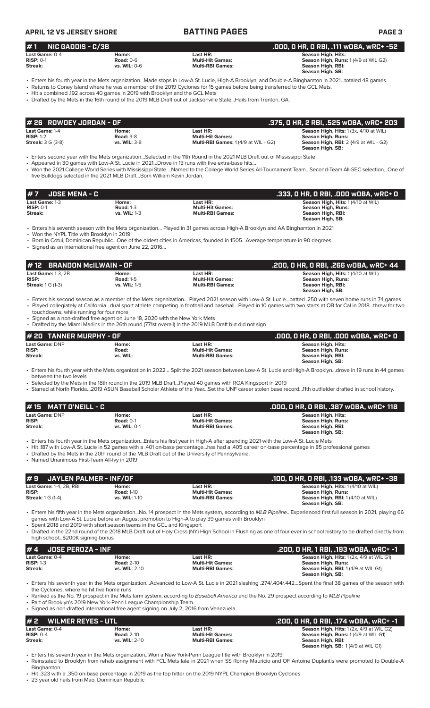### **APRIL 12 VS JERSEY SHORE BATTING PAGES PAGE 3 # 7 JOSE MENA - C .333, 0 HR, 0 RBI, .000 wOBA, wRC+ 0 Last Game:** 1-3 **Home: Last HR: Season High, Hits:** 1 (4/10 at WIL) **RISP:** 0-1 **Road:** 1-3 **Multi-Hit Games: Season High, Runs: Streak: vs. WIL:** 1-3 **Multi-RBI Games: Season High, RBI: Season High, SB:**  • Enters his seventh season with the Mets organization… Played in 31 games across High-A Brooklyn and AA Binghamton in 2021 • Won the NYPL Title with Brooklyn in 2019 • Born in Cotui, Dominican Republic…One of the oldest cities in Americas, founded in 1505…Average temperature in 90 degrees. • Signed as an International free agent on June 22, 2016… **Last Game:** DNP **Home: Last HR: Season High, Hits: RISP: Road: Multi-Hit Games: Season High, Runs: Streak: vs. WIL: Multi-RBI Games: Season High, RBI: Season High, SB:**  • Enters his fourth year with the Mets organization in 2022… Split the 2021 season between Low-A St. Lucie and High-A Brooklyn…drove in 19 runs in 44 games between the two levels • Selected by the Mets in the 18th round in the 2019 MLB Draft…Played 40 games with ROA Kingsport in 2019 • Starred at North Florida…2019 ASUN Baseball Scholar Athlete of the Year…Set the UNF career stolen base record…11th outfielder drafted in school history. **# 20 TANNER MURPHY - OF .000, 0 HR, 0 RBI, .000 wOBA, wRC+ 0 # 1 NIC GADDIS - C/3B .000, 0 HR, 0 RBI, .111 wOBA, wRC+ -52 Last Game:** 0-4 **Home: Last HR: Season High, Hits: RISP:** 0-1 **Road:** 0-6 **Multi-Hit Games: Season High, Runs:** 1 (4/9 at WIL G2) **Streak: vs. WIL:** 0-6 **Multi-RBI Games: Season High, RBI: Season High, SB:**  • Enters his fourth year in the Mets organization...Made stops in Low-A St. Lucie, High-A Brooklyn, and Double-A Binghamton in 2021…totaled 48 games. • Returns to Coney Island where he was a member of the 2019 Cyclones for 15 games before being transferred to the GCL Mets. • Hit a combined .192 across 40 games in 2019 with Brooklyn and the GCL Mets • Drafted by the Mets in the 16th round of the 2019 MLB Draft out of Jacksonville State...Hails from Trenton, GA. Last Game: 1-4 **Home: Home: 1-4** Home: 1-4 **Home: 1-4** Home: 1-4 **RISP: 1-2 Road: 3-8 Home: 1-4** RISP: 1-2 **Road: 3-8 Home: 1-4** RISP: 1-2 **Road: 3-8 Home: 1-4** RISP: 1-2 **Road: 3-8 Home: 1-4 Home: 1 (4/9 at WI Road: 3-8 The Road: 3-8 In the Road: 3-8 In the Multi-Hit Games: 14/9 at WIL - G2)<br>
<b>Road: 3-8 The Multi-RBI Games: 1** (4/9 at WIL - G2) **Streak:** 3 G (3-8) **vs. WIL:** 3-8 **Multi-RBI Games:** 1 (4/9 at WIL - G2) **Season High, RBI:** 2 **(**4/9 at WIL - G2) **Season High, SB:**  • Enters second year with the Mets organization…Selected in the 11th Round in the 2021 MLB Draft out of Mississippi State • Appeared in 30 games with Low-A St. Lucie in 2021…Drove in 13 runs with five extra-base hits… • Won the 2021 College World Series with Mississippi State….Named to the College World Series All-Tournament Team…Second-Team All-SEC selection…One of five Bulldogs selected in the 2021 MLB Draft…Born William Kevin Jordan. **# 26 ROWDEY JORDAN - OF .375, 0 HR, 2 RBI, .525 wOBA, wRC+ 203 Last Game:** 1-3, 2B **Home: Last HR: Season High, Hits:** 1 (4/10 at WIL) **RISP: Road:** 1-5 **Multi-Hit Games: Season High, Runs: Streak:** 1 G (1-3) **vs. WIL:** 1-5 **Multi-RBI Games: Season High, RBI: Season High, SB:**  • Enters his second season as a member of the Mets organization… Played 2021 season with Low-A St. Lucie…batted .250 with seven home runs in 74 games • Played collegiately at California…dual sport athlete competing in football and baseball…Played in 10 games with two starts at QB for Cal in 2018…threw for two touchdowns, while running for four more Signed as a non-drafted free agent on June 18, 2020 with the New York Mets • Drafted by the Miami Marlins in the 26th round (771st overall) in the 2019 MLB Draft but did not sign **# 12 BRANDON McILWAIN - OF .200, 0 HR, 0 RBI, .266 wOBA, wRC+ 44 Last Game:** DNP **Home: Last HR: Season High, Hits: RISP:** Road: 0-1 **Multi-Hit Games:** Road: 0-1 **Multi-Hit Games: RISP: RISP: Road:** 0-1 **Multi-RBI Games: Streak: Streak: With, RISP: We Streak: vs. WIL:** 0-1 **Multi-RBI Games: Season High, RBI: Season High, SB:**  • Enters his fourth year in the Mets organization...Enters his first year in High-A after spending 2021 with the Low-A St. Lucie Mets • Hit .187 with Low-A St. Lucie in 52 games with a .401 on-base percentage...has had a .405 career on-base percentage in 85 professional games • Drafted by the Mets in the 20th round of the MLB Draft out of the University of Pennsylvania. • Named Unanimous First-Team All-Ivy in 2019 **# 15 MATT O'NEILL - C .000, 0 HR, 0 RBI, .387 wOBA, wRC+ 118 # 9 JAYLEN PALMER - INF/OF .100, 0 HR, 0 RBI, .133 wOBA, wRC+ -38 Last Game:** 1-4, 2B, RBI **Home: Last HR: Season High, Hits:** 1 (4/10 at WIL) **RISP: Road:** 1-10 **Multi-Hit Games: Season High, Runs: Streak:** 1 G (1-4) **vs. WIL:** 1-10 **Multi-RBI Games: Season High, RBI:** 1 (4/10 at WIL) **Season High, SB:**  • Enters his fifth year in the Mets organization...No. 14 prospect in the Mets system, according to *MLB Pipeline*...Experienced first full season in 2021, playing 66 games with Low-A St. Lucie before an August promotion to High-A to play 39 games with Brooklyn • Spent 2018 and 2019 with short season teams in the GCL and Kingsport • Drafted in the 22nd round of the 2018 MLB Draft out of Holy Cross (NY) High School in Flushing as one of four ever in school history to be drafted directly from high school...\$200K signing bonus **# 4 JOSE PEROZA - INF .200, 0 HR, 1 RBI, .193 wOBA, wRC+ -1 Last Game: 0-4 Home: Home: Last HR: Last HR: Season High, Hits:** 1 (2x, 4/9 at WIL G1)<br> **RISP:** 1-3 **Read: 2-10 Home: Multi-Hit Games: Season High, Rise: 8 at Multi-Hit Games: Season High, Runs: RISP:** 1-3 **Road:** 2-10 **Multi-Hit Games: Season High, Runs: Season High, RBI:** 1 (4/9 at WIL G1) **Season High, SB:**  • Enters his seventh year in the Mets organization...Advanced to Low-A St. Lucie in 2021 slashing .274/.404/.442…Spent the final 38 games of the season with the Cyclones, where he hit five home runs • Ranked as the No. 19 prospect in the Mets farm system, according to *Baseball America* and the No. 29 prospect according to *MLB Pipeline* Part of Brooklyn's 2019 New York-Penn League Championship Team. • Signed as non-drafted international free agent signing on July 2, 2016 from Venezuela. **# 2 WILMER REYES - UTL .200, 0 HR, 0 RBI, .174 wOBA, wRC+ -1 Last Game:** 0-4 **Home: Last HR: Season High, Hits:** 1 (2x, 4/9 at WIL G2) **RISP:** 0-4 **Road:** 2-10 **Multi-Hit Games: Season High, Runs:** 1 (4/9 at WIL G1) Season High, RBI: **Season High, SB:** 1 (4/9 at WIL G1) • Enters his seventh year in the Mets organization...Won a New York-Penn League title with Brooklyn in 2019 • Reinstated to Brooklyn from rehab assignment with FCL Mets late in 2021 when SS Ronny Mauricio and OF Antoine Duplantis were promoted to Double-A Binghamton. • Hit .323 with a .350 on-base percentage in 2019 as the top hitter on the 2019 NYPL Champion Brooklyn Cyclones

23 year old hails from Mao, Dominican Republic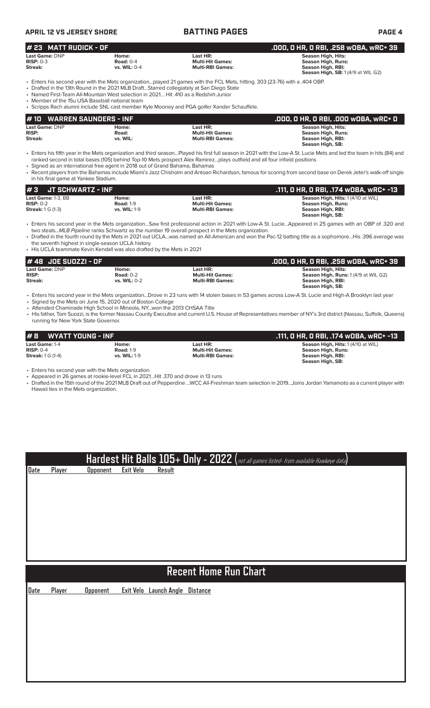| APRIL 12 VS JERSEY SHORE                                      |                                                                                                                                                                                  | <b>BATTING PAGES</b>                                                                                                                                                                                                       | <b>PAGE 4</b>                                                                                                                                                                                                                                                                                                                        |
|---------------------------------------------------------------|----------------------------------------------------------------------------------------------------------------------------------------------------------------------------------|----------------------------------------------------------------------------------------------------------------------------------------------------------------------------------------------------------------------------|--------------------------------------------------------------------------------------------------------------------------------------------------------------------------------------------------------------------------------------------------------------------------------------------------------------------------------------|
| # 23 MATT RUDICK - OF                                         |                                                                                                                                                                                  |                                                                                                                                                                                                                            | .000, 0 HR, 0 RBI, .258 w0BA, wRC+ 39                                                                                                                                                                                                                                                                                                |
| Last Game: DNP<br>$RISP: 0-3$<br>Streak:                      | Home:<br><b>Road: 0-4</b><br>vs. WIL: 0-4                                                                                                                                        | Last HR:<br><b>Multi-Hit Games:</b><br><b>Multi-RBI Games:</b>                                                                                                                                                             | <b>Season High, Hits:</b><br><b>Season High, Runs:</b><br><b>Season High, RBI:</b><br>Season High, SB: 1 (4/9 at WIL G2)                                                                                                                                                                                                             |
| • Member of the 15u USA Baseball national team                | • Drafted in the 13th Round in the 2021 MLB DraftStarred collegiately at San Diego State<br>• Named First-Team All-Mountain West selection in 2021 Hit .410 as a Redshirt-Junior | • Enters his second year with the Mets organizationplayed 21 games with the FCL Mets, hitting. 303 (23-76) with a .404 OBP.<br>• Scripps Rach alumni include SNL cast member Kyle Mooney and PGA golfer Xander Schauffele. |                                                                                                                                                                                                                                                                                                                                      |
| # 10                                                          | <b>WARREN SAUNDERS - INF</b>                                                                                                                                                     |                                                                                                                                                                                                                            | .000, 0 HR, 0 RBI, .000 WOBA, WRC+ 0                                                                                                                                                                                                                                                                                                 |
| Last Game: DNP<br><b>RISP:</b><br>Streak:                     | Home:<br>Road:<br>vs. WIL:                                                                                                                                                       | Last HR:<br><b>Multi-Hit Games:</b><br><b>Multi-RBI Games:</b>                                                                                                                                                             | <b>Season High, Hits:</b><br><b>Season High, Runs:</b><br>Season High, RBI:<br>Season High, SB:                                                                                                                                                                                                                                      |
| in his final game at Yankee Stadium.                          | • Signed as an international free agent in 2018 out of Grand Bahama, Bahamas                                                                                                     | ranked second in total bases (105) behind Top-10 Mets prospect Alex Ramirezplays outfield and all four infield positions                                                                                                   | • Enters his fifth year in the Mets organization and third seasonPlayed his first full season in 2021 with the Low-A St. Lucie Mets and led the team in hits (84) and<br>• Recent players from the Bahamas include Miami's Jazz Chisholm and Antoan Richardson, famous for scoring from second base on Derek Jeter's walk-off single |
| #3<br><b>JT SCHWARTZ - INF</b>                                |                                                                                                                                                                                  |                                                                                                                                                                                                                            | .111, O HR, O RBI, .174 WOBA, WRC+ -13                                                                                                                                                                                                                                                                                               |
| Last Game: 1-3. BB<br>$RISP: 0-2$<br><b>Streak: 1 G (1-3)</b> | Home:<br><b>Road: 1-9</b><br><b>vs. WIL: 1-9</b>                                                                                                                                 | Last HR:<br><b>Multi-Hit Games:</b><br><b>Multi-RBI Games:</b>                                                                                                                                                             | Season High, Hits: 1 (4/10 at WIL)<br><b>Season High, Runs:</b><br><b>Season High, RBI:</b><br>Season High, SB:                                                                                                                                                                                                                      |
|                                                               | the seventh highest in single-season UCLA history<br>• His UCLA teammate Kevin Kendall was also drafted by the Mets in 2021                                                      | two stealsMLB Pipeline ranks Schwartz as the number 19 overall prospect in the Mets organization.                                                                                                                          | • Enters his second year in the Mets organizationSaw first professional action in 2021 with Low-A St. LucieAppeared in 25 games with an OBP of .320 and<br>· Drafted in the fourth round by the Mets in 2021 out UCLAwas named an All-American and won the Pac-12 batting title as a sophomoreHis .396 average was                   |
| #48 JOE SUOZZI - OF                                           |                                                                                                                                                                                  |                                                                                                                                                                                                                            | .000, 0 HR, 0 RBI, .258 w0BA, wRC+ 39                                                                                                                                                                                                                                                                                                |
| Last Game: DNP<br><b>RISP:</b>                                | Home:<br><b>Road: 0-2</b>                                                                                                                                                        | Last HR:<br><b>Multi-Hit Games:</b>                                                                                                                                                                                        | Season High, Hits:<br>Season High, Runs: 1 (4/9 at WIL G2)                                                                                                                                                                                                                                                                           |
| Streak:                                                       | vs. WIL: 0-2                                                                                                                                                                     | <b>Multi-RBI Games:</b>                                                                                                                                                                                                    | Season High, RBI:<br>Season High, SB:                                                                                                                                                                                                                                                                                                |
|                                                               |                                                                                                                                                                                  |                                                                                                                                                                                                                            | • Enters his second year in the Mets organizationDrove in 23 runs with 14 stolen bases in 53 games across Low-A St. Lucie and High-A Brooklyn last year                                                                                                                                                                              |

• Signed by the Mets on June 15, 2020 out of Boston College • Attended Chaminade High School in Mineola, NY...won the 2013 CHSAA Title

• His father, Tom Suozzi, is the former Nassau County Executive and current U.S. House of Representatives member of NY's 3rd district (Nassau, Suffolk, Queens) running for New York State Governor.

| #B<br><b>WYATT YOUNG - INF</b> |                     |                         | .111, O HR, O RBI, .174 wOBA, wRC+ -13 |
|--------------------------------|---------------------|-------------------------|----------------------------------------|
| Last Game: 1-4                 | Home:               | Last HR:                | Season High, Hits: 1 (4/10 at WIL)     |
| $RISP: 0-4$                    | <b>Road: 1-9</b>    | <b>Multi-Hit Games:</b> | Season High, Runs:                     |
| <b>Streak:</b> 1 G (1-4)       | <b>vs. WIL: 1-9</b> | <b>Multi-RBI Games:</b> | Season High, RBI:                      |
|                                |                     |                         | Season High SR.                        |

• Enters his second year with the Mets organization

**Date Player Opponent Exit Velo Result**

• Appeared in 26 games at rookie-level FCL in 2021…Hit .370 and drove in 13 runs

• Drafted in the 15th round of the 2021 MLB Draft out of Pepperdine …WCC All-Freshman team selection in 2019…Joins Jordan Yamamoto as a current player with Hawaii ties in the Mets organization.

**Hardest Hit Balls 105+ Only - 2022 (**not all games listed- from available Hawkeye data**)**

# **Recent Home Run Chart**

**Date Player Opponent Exit Velo Launch Angle Distance**

**Season High, SB:**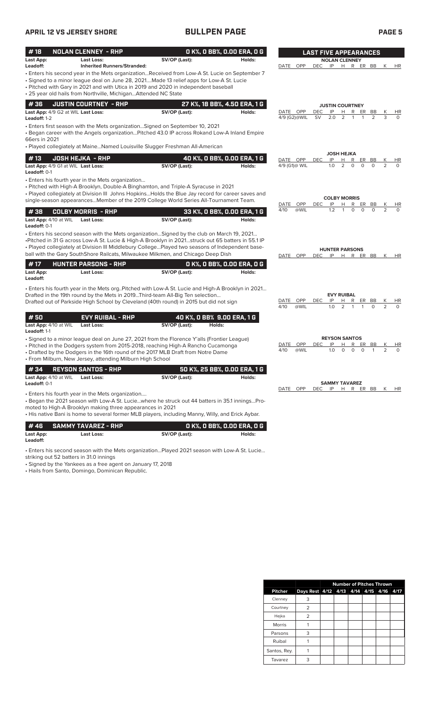## **APRIL 12 VS JERSEY SHORE BULLPEN PAGE PAGE 5**

|--|--|

| #18<br>Last App:                                          | <b>NOLAN CLENNEY - RHP</b><br>Last Loss:                                                                                                                                                                                                                                                                                                          | SV/OP (Last):              | O K%, O BB%, O.OO ERA, O G   | Holds: |                             |                  |                                | <b>LAST FIVE APPEARANCES</b><br><b>NOLAN CLENNEY</b> |                |        |                |
|-----------------------------------------------------------|---------------------------------------------------------------------------------------------------------------------------------------------------------------------------------------------------------------------------------------------------------------------------------------------------------------------------------------------------|----------------------------|------------------------------|--------|-----------------------------|------------------|--------------------------------|------------------------------------------------------|----------------|--------|----------------|
| Leadoff:                                                  | <b>Inherited Runners/Stranded:</b>                                                                                                                                                                                                                                                                                                                |                            |                              |        | DATE OPP                    | <b>DEC</b>       | IP                             | H R ER BB                                            |                | К      | <b>HR</b>      |
|                                                           | • Enters his second year in the Mets organizationReceived from Low-A St. Lucie on September 7<br>· Signed to a minor league deal on June 28, 2021Made 13 relief apps for Low-A St. Lucie<br>• Pitched with Gary in 2021 and with Utica in 2019 and 2020 in independent baseball<br>• 25 year old hails from Northville, MichiganAttended NC State |                            |                              |        |                             |                  |                                |                                                      |                |        |                |
| #36                                                       | <b>JUSTIN COURTNEY - RHP</b>                                                                                                                                                                                                                                                                                                                      |                            | 27 K%, 18 BB%, 4.50 ERA, 1 G |        |                             |                  |                                | <b>JUSTIN COURTNEY</b>                               |                |        |                |
| Last App: 4/9 G2 at WIL Last Loss:<br>Leadoff: 1-2        |                                                                                                                                                                                                                                                                                                                                                   | SV/OP (Last):              |                              | Holds: | DATE OPP<br>4/9 (G2)@WIL    | DEC<br><b>SV</b> | IP<br>2.0                      | R<br>ER<br>н<br>2                                    | BB<br>2        | К<br>3 | HR<br>$\Omega$ |
| 66ers in 2021                                             | • Enters first season with the Mets organization Signed on September 10, 2021<br>. Began career with the Angels organizationPitched 43.0 IP across Rokand Low-A Inland Empire                                                                                                                                                                     |                            |                              |        |                             |                  |                                |                                                      |                |        |                |
|                                                           | • Played collegiately at Maine Named Louisville Slugger Freshman All-American                                                                                                                                                                                                                                                                     |                            |                              |        |                             |                  | <b>JOSH HEJKA</b>              |                                                      |                |        |                |
| #13<br>Last App: 4/9 G1 at WIL Last Loss:<br>Leadoff: 0-1 | <b>JOSH HEJKA - RHP</b>                                                                                                                                                                                                                                                                                                                           | SV/OP (Last):              | 40 K%, 0 BB%, 0.00 ERA, 1 G  | Holds: | DATE OPP<br>4/9 (G1)@ WIL   | <b>DEC</b>       | IP<br>1.0                      | Н<br>R<br>ER<br>2<br>0<br>$\Omega$                   | BB<br>$\Omega$ | К<br>2 | HR<br>$\Omega$ |
|                                                           | • Enters his fourth year in the Mets organization<br>• Pitched with High-A Brooklyn, Double-A Binghamton, and Triple-A Syracuse in 2021                                                                                                                                                                                                           |                            |                              |        |                             |                  |                                |                                                      |                |        |                |
|                                                           | • Played collegiately at Division III Johns Hopkins Holds the Blue Jay record for career saves and<br>single-season appearancesMember of the 2019 College World Series All-Tournament Team.                                                                                                                                                       |                            |                              |        | DATE<br>OPP                 | DEC              | IP                             | <b>COLBY MORRIS</b><br>R<br>ER<br>н                  | BB             | Κ      | HR             |
| #38<br>Last App: 4/10 at WIL                              | <b>COLBY MORRIS - RHP</b><br><b>Last Loss:</b>                                                                                                                                                                                                                                                                                                    | SV/OP (Last):              | 33 K%, O BB%, O.OO ERA, 1 G  | Holds: | @WIL<br>4/10                |                  | 1.2                            | 0<br>0<br>1                                          | 0              | 2      | $\Omega$       |
| Leadoff: 0-1                                              |                                                                                                                                                                                                                                                                                                                                                   |                            |                              |        |                             |                  |                                |                                                      |                |        |                |
|                                                           | . Enters his second season with the Mets organizationSigned by the club on March 19, 2021<br>•Pitched in 31 G across Low-A St. Lucie & High-A Brooklyn in 2021struck out 65 batters in 55.1 IP                                                                                                                                                    |                            |                              |        |                             |                  |                                |                                                      |                |        |                |
|                                                           | . Played collegiately at Division III Middlebury College Played two seasons of Independent base-<br>ball with the Gary SouthShore Railcats, Milwaukee Milkmen, and Chicago Deep Dish                                                                                                                                                              |                            |                              |        | DATE OPP                    | <b>DEC</b>       |                                | <b>HUNTER PARSONS</b><br>IP H R ER BB K              |                |        | HR             |
| #17                                                       | <b>HUNTER PARSONS - RHP</b>                                                                                                                                                                                                                                                                                                                       |                            | O K%, O BB%, O.OO ERA, O G   |        |                             |                  |                                |                                                      |                |        |                |
| Last App:<br>Leadoff:                                     | <b>Last Loss:</b>                                                                                                                                                                                                                                                                                                                                 | SV/OP (Last):              |                              | Holds: |                             |                  |                                |                                                      |                |        |                |
|                                                           | . Enters his fourth year in the Mets org. Pitched with Low-A St. Lucie and High-A Brooklyn in 2021                                                                                                                                                                                                                                                |                            |                              |        |                             |                  |                                |                                                      |                |        |                |
|                                                           | Drafted in the 19th round by the Mets in 2019Third-team All-Big Ten selection<br>Drafted out of Parkside High School by Cleveland (40th round) in 2015 but did not sign                                                                                                                                                                           |                            |                              |        | DATE<br>OPP<br>@WIL<br>4/10 | <b>DEC</b>       | <b>EVY RUIBAL</b><br>IP<br>1.0 | н<br>R<br>ER<br>$\overline{2}$                       | BB<br>$\Omega$ | К<br>2 | HR<br>$\Omega$ |
| #50                                                       | <b>EVY RUIBAL - RHP</b>                                                                                                                                                                                                                                                                                                                           | 40 K%, 0 BB% 9.00 ERA, 1 G |                              |        |                             |                  |                                |                                                      |                |        |                |
| Last App: 4/10 at WIL<br>Leadoff: 1-1                     | <b>Last Loss:</b>                                                                                                                                                                                                                                                                                                                                 | SV/OP (Last):              | Holds:                       |        |                             |                  |                                |                                                      |                |        |                |
|                                                           | · Signed to a minor league deal on June 27, 2021 from the Florence Y'alls (Frontier League)                                                                                                                                                                                                                                                       |                            |                              |        | OPP<br>DATE                 | DEC              | ΙP                             | <b>REYSON SANTOS</b><br>R                            | ER<br>BB       |        | HR             |
|                                                           | • Pitched in the Dodgers system from 2015-2018, reaching High-A Rancho Cucamonga<br>• Drafted by the Dodgers in the 16th round of the 2017 MLB Draft from Notre Dame<br>• From Milburn, New Jersey, attending Milburn High School                                                                                                                 |                            |                              |        | 4/10<br>@WIL                |                  | 1.0                            | 0<br>0<br>$\circ$                                    | 1              | 2      | $\Omega$       |
| #34                                                       | <b>REYSON SANTOS - RHP</b>                                                                                                                                                                                                                                                                                                                        |                            | 50 K%, 25 BB%, 0.00 ERA, 1 G |        |                             |                  |                                |                                                      |                |        |                |
| Last App: 4/10 at WIL<br>Leadoff: 0-1                     | <b>Last Loss:</b>                                                                                                                                                                                                                                                                                                                                 | SV/OP (Last):              |                              | Holds: |                             |                  |                                | <b>SAMMY TAVAREZ</b>                                 |                |        |                |
|                                                           | • Enters his fourth year in the Mets organization<br>- Began the 2021 season with Low-A St. Luciewhere he struck out 44 batters in 35.1 inningsPro-<br>moted to High-A Brooklyn making three appearances in 2021<br>• His native Bani is home to several former MLB players, including Manny, Willy, and Erick Aybar.                             |                            |                              |        | DATE OPP                    | DEC              | IP                             | H R ER BB                                            |                | K      | HR             |
|                                                           |                                                                                                                                                                                                                                                                                                                                                   |                            |                              |        |                             |                  |                                |                                                      |                |        |                |
| #46<br>Last App:<br>Leadoff:                              | <b>SAMMY TAVAREZ - RHP</b><br><b>Last Loss:</b>                                                                                                                                                                                                                                                                                                   | SV/OP (Last):              | O K%, O BB%, O.OO ERA, O G   | Holds: |                             |                  |                                |                                                      |                |        |                |
| striking out 52 batters in 31.0 innings                   | · Enters his second season with the Mets organizationPlayed 2021 season with Low-A St. Lucie                                                                                                                                                                                                                                                      |                            |                              |        |                             |                  |                                |                                                      |                |        |                |

• Signed by the Yankees as a free agent on January 17, 2018

• Hails from Santo, Domingo, Dominican Republic.

|                |                                    |  |  | <b>Number of Pitches Thrown</b> |      |
|----------------|------------------------------------|--|--|---------------------------------|------|
| <b>Pitcher</b> | Days Rest 4/12 4/13 4/14 4/15 4/16 |  |  |                                 | 4/17 |
| Clenney        | 3                                  |  |  |                                 |      |
| Courtney       | 2                                  |  |  |                                 |      |
| Hejka          | 2                                  |  |  |                                 |      |
| <b>Morris</b>  |                                    |  |  |                                 |      |
| Parsons        | 3                                  |  |  |                                 |      |
| Ruibal         |                                    |  |  |                                 |      |
| Santos, Rey.   |                                    |  |  |                                 |      |
| Tavarez        | з                                  |  |  |                                 |      |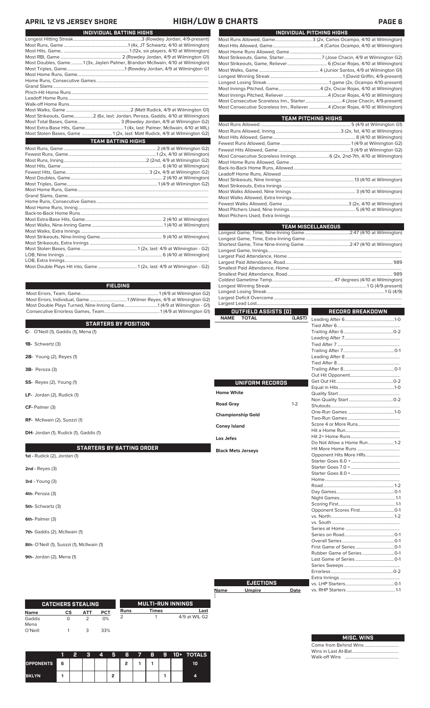### **APRIL 12 VS JERSEY SHORE HIGH/LOW & CHARTS PAGE 6**

| INDIVIDUAL BATTING HIGHS                                                                                                                                                                                                                                                                                                                                                                                                                               |
|--------------------------------------------------------------------------------------------------------------------------------------------------------------------------------------------------------------------------------------------------------------------------------------------------------------------------------------------------------------------------------------------------------------------------------------------------------|
|                                                                                                                                                                                                                                                                                                                                                                                                                                                        |
|                                                                                                                                                                                                                                                                                                                                                                                                                                                        |
|                                                                                                                                                                                                                                                                                                                                                                                                                                                        |
|                                                                                                                                                                                                                                                                                                                                                                                                                                                        |
| Most Doubles, Game1 (3x, Jaylen Palmer, Brandon McIlwain, 4/10 at Wilmington)                                                                                                                                                                                                                                                                                                                                                                          |
|                                                                                                                                                                                                                                                                                                                                                                                                                                                        |
|                                                                                                                                                                                                                                                                                                                                                                                                                                                        |
|                                                                                                                                                                                                                                                                                                                                                                                                                                                        |
|                                                                                                                                                                                                                                                                                                                                                                                                                                                        |
|                                                                                                                                                                                                                                                                                                                                                                                                                                                        |
|                                                                                                                                                                                                                                                                                                                                                                                                                                                        |
|                                                                                                                                                                                                                                                                                                                                                                                                                                                        |
|                                                                                                                                                                                                                                                                                                                                                                                                                                                        |
| Most Strikeouts, Game2 (6x, last: Jordan, Peroza, Gaddis, 4/10 at Wilmington)                                                                                                                                                                                                                                                                                                                                                                          |
|                                                                                                                                                                                                                                                                                                                                                                                                                                                        |
|                                                                                                                                                                                                                                                                                                                                                                                                                                                        |
| Most Stolen Bases, Game 1 (2x, last: Matt Rudick, 4/9 at Wilmington G2)                                                                                                                                                                                                                                                                                                                                                                                |
| <b>TEAM BATTING HIGHS</b>                                                                                                                                                                                                                                                                                                                                                                                                                              |
|                                                                                                                                                                                                                                                                                                                                                                                                                                                        |
|                                                                                                                                                                                                                                                                                                                                                                                                                                                        |
|                                                                                                                                                                                                                                                                                                                                                                                                                                                        |
|                                                                                                                                                                                                                                                                                                                                                                                                                                                        |
|                                                                                                                                                                                                                                                                                                                                                                                                                                                        |
|                                                                                                                                                                                                                                                                                                                                                                                                                                                        |
|                                                                                                                                                                                                                                                                                                                                                                                                                                                        |
|                                                                                                                                                                                                                                                                                                                                                                                                                                                        |
|                                                                                                                                                                                                                                                                                                                                                                                                                                                        |
|                                                                                                                                                                                                                                                                                                                                                                                                                                                        |
|                                                                                                                                                                                                                                                                                                                                                                                                                                                        |
|                                                                                                                                                                                                                                                                                                                                                                                                                                                        |
| $M_{\text{out}}$ $\Gamma_{\text{out}}$ $\Gamma_{\text{out}}$ $\Gamma_{\text{out}}$ $\Gamma_{\text{out}}$ $\Gamma_{\text{out}}$ $\Gamma_{\text{out}}$ $\Gamma_{\text{out}}$ $\Gamma_{\text{out}}$ $\Gamma_{\text{out}}$ $\Gamma_{\text{out}}$ $\Gamma_{\text{out}}$ $\Gamma_{\text{out}}$ $\Gamma_{\text{out}}$ $\Gamma_{\text{out}}$ $\Gamma_{\text{out}}$ $\Gamma_{\text{out}}$ $\Gamma_{\text{out}}$ $\Gamma_{\text{out}}$ $\Gamma_{\text{out}}$ $\$ |

### **FIELDING**

Most Errors, Team, Game.....................................................................1 (4/9 at Wilmington G2) Most Errors, Individual, Game.................................1 (Wilmer Reyes, 4/9 at Wilmington G2) Most Double Plays Turned, Nine-Inning Game.............................1 (4/9 at Wilmington - G1) Consecutive Errorless Games, Team.................................................1 (4/9 at Wilmington G1)

|                                            | <b>TOTAL</b><br><b>NAME</b> | (LAST)  |                        |  |
|--------------------------------------------|-----------------------------|---------|------------------------|--|
| <b>STARTERS BY POSITION</b>                |                             |         |                        |  |
| C- O'Neill (1), Gaddis (1), Mena (1)       |                             |         |                        |  |
|                                            |                             |         |                        |  |
| 1B- Schwartz (3)                           |                             |         |                        |  |
|                                            |                             |         |                        |  |
| 2B- Young (2), Reyes (1)                   |                             |         |                        |  |
|                                            |                             |         |                        |  |
| <b>3B-</b> Peroza (3)                      |                             |         |                        |  |
|                                            |                             |         |                        |  |
| <b>SS-</b> Reyes (2), Young (1)            | <b>UNIFORM RECORDS</b>      |         |                        |  |
|                                            |                             |         |                        |  |
| LF- Jordan (2), Rudick (1)                 | <b>Home White</b>           |         |                        |  |
|                                            |                             |         |                        |  |
| CF- Palmer (3)                             | <b>Road Gray</b>            | $1 - 2$ |                        |  |
|                                            | <b>Championship Gold</b>    |         |                        |  |
| RF- McIlwain (2), Suozzi (1)               |                             |         |                        |  |
|                                            | <b>Coney Island</b>         |         |                        |  |
| DH- Jordan (1), Rudick (1), Gaddis (1)     |                             |         |                        |  |
|                                            | Los Jefes                   |         |                        |  |
|                                            |                             |         |                        |  |
| <b>STARTERS BY BATTING ORDER</b>           | <b>Black Mets Jerseys</b>   |         |                        |  |
| 1st - Rudick (2), Jordan (1)               |                             |         | Opponent Hits More HRs |  |
|                                            |                             |         |                        |  |
| $2nd$ - Reyes $(3)$                        |                             |         |                        |  |
|                                            |                             |         |                        |  |
| 3rd - Young (3)                            |                             |         |                        |  |
|                                            |                             |         |                        |  |
| 4th-Peroza (3)                             |                             |         |                        |  |
|                                            |                             |         |                        |  |
| 5th-Schwartz (3)                           |                             |         |                        |  |
|                                            |                             |         |                        |  |
| 6th-Palmer (3)                             |                             |         |                        |  |
|                                            |                             |         |                        |  |
| 7th- Gaddis (2), McIlwain (1)              |                             |         |                        |  |
|                                            |                             |         |                        |  |
| 8th- O'Neill (1), Suozzi (1), Mcllwain (1) |                             |         |                        |  |
|                                            |                             |         |                        |  |

**9th-** Jordan (2), Mena (1)

|             | <b>CATCHERS STEALING</b> |     |            |      | <b>MULTI-RUN INNINGS</b> |               |
|-------------|--------------------------|-----|------------|------|--------------------------|---------------|
| <b>Name</b> | СS                       | ΔТΤ | <b>PCT</b> | Runs | <b>Times</b>             | Last          |
| Gaddis      |                          |     | 0%         |      |                          | 4/9 at WIL G2 |
| Mena        |                          |     |            |      |                          |               |
| O'Neill     |                          |     | 33%        |      |                          |               |

|                  |    | 2 | я | 4 | я |   | 6 7 8 | - 91 | 10+ TOTALS |
|------------------|----|---|---|---|---|---|-------|------|------------|
| <b>OPPONENTS</b> | Iб |   |   |   |   | , |       |      | 10         |
| <b>BKLYN</b>     |    |   |   |   |   |   |       |      | 4          |

| INDIVIDUAL PITCHING HIGHS                                                           |  |
|-------------------------------------------------------------------------------------|--|
|                                                                                     |  |
|                                                                                     |  |
|                                                                                     |  |
|                                                                                     |  |
|                                                                                     |  |
|                                                                                     |  |
|                                                                                     |  |
|                                                                                     |  |
|                                                                                     |  |
|                                                                                     |  |
| Most Consecutive Scoreless Inn., Starter4 (Jose Chacin, 4/9-present)                |  |
| Most Consecutive Scoreless Inn., Reliever ………………4 (Oscar Rojas, 4/10 at Wilmington) |  |
|                                                                                     |  |

| <b>TEAM PITCHING HIGHS</b> |  |
|----------------------------|--|
|                            |  |
|                            |  |
|                            |  |
|                            |  |
|                            |  |
|                            |  |
|                            |  |
|                            |  |
|                            |  |
|                            |  |
|                            |  |
|                            |  |
|                            |  |
|                            |  |
|                            |  |
|                            |  |
|                            |  |
| <b>TEAM MISCELLANEOUS</b>  |  |

| <u>i can indoceraneo di mandia di sensi di sensi di sensi di sensi di sensi di sensi di sensi di sensi di sensi </u> |  |
|----------------------------------------------------------------------------------------------------------------------|--|
|                                                                                                                      |  |
|                                                                                                                      |  |
|                                                                                                                      |  |
|                                                                                                                      |  |
|                                                                                                                      |  |
|                                                                                                                      |  |
|                                                                                                                      |  |
|                                                                                                                      |  |
|                                                                                                                      |  |
|                                                                                                                      |  |
|                                                                                                                      |  |
|                                                                                                                      |  |
|                                                                                                                      |  |

| OUTFIELD ASSISTS (O)        |         | RECORD BREAKDOWN           |  |  |  |  |
|-----------------------------|---------|----------------------------|--|--|--|--|
| <b>NAME</b><br><b>TOTAL</b> | (LAST)  |                            |  |  |  |  |
|                             |         |                            |  |  |  |  |
|                             |         |                            |  |  |  |  |
|                             |         |                            |  |  |  |  |
|                             |         |                            |  |  |  |  |
|                             |         |                            |  |  |  |  |
|                             |         |                            |  |  |  |  |
|                             |         |                            |  |  |  |  |
|                             |         |                            |  |  |  |  |
|                             |         |                            |  |  |  |  |
| <b>UNIFORM RECORDS</b>      |         |                            |  |  |  |  |
|                             |         |                            |  |  |  |  |
| <b>Home White</b>           |         |                            |  |  |  |  |
|                             |         |                            |  |  |  |  |
| <b>Road Gray</b>            | $1 - 2$ |                            |  |  |  |  |
| <b>Championship Gold</b>    |         |                            |  |  |  |  |
|                             |         |                            |  |  |  |  |
| <b>Coney Island</b>         |         |                            |  |  |  |  |
|                             |         |                            |  |  |  |  |
| Los Jefes                   |         |                            |  |  |  |  |
|                             |         | Do Not Allow a Home Run1-2 |  |  |  |  |
| <b>Black Mets Jerseys</b>   |         |                            |  |  |  |  |
|                             |         |                            |  |  |  |  |
|                             |         |                            |  |  |  |  |
|                             |         |                            |  |  |  |  |
|                             |         |                            |  |  |  |  |
|                             |         |                            |  |  |  |  |
|                             |         |                            |  |  |  |  |
|                             |         |                            |  |  |  |  |
|                             |         |                            |  |  |  |  |
|                             |         |                            |  |  |  |  |
|                             |         |                            |  |  |  |  |
|                             |         |                            |  |  |  |  |
|                             |         |                            |  |  |  |  |
|                             |         |                            |  |  |  |  |
|                             |         |                            |  |  |  |  |
|                             |         |                            |  |  |  |  |
|                             |         |                            |  |  |  |  |
|                             |         |                            |  |  |  |  |
|                             |         |                            |  |  |  |  |
|                             |         |                            |  |  |  |  |
|                             |         |                            |  |  |  |  |
|                             |         |                            |  |  |  |  |
| <b>EJECTIONS</b>            |         |                            |  |  |  |  |
| <b>Umpire</b>               | Date    |                            |  |  |  |  |

| <b>MISC. WINS</b>     |
|-----------------------|
| Come from Behind Wins |
|                       |
|                       |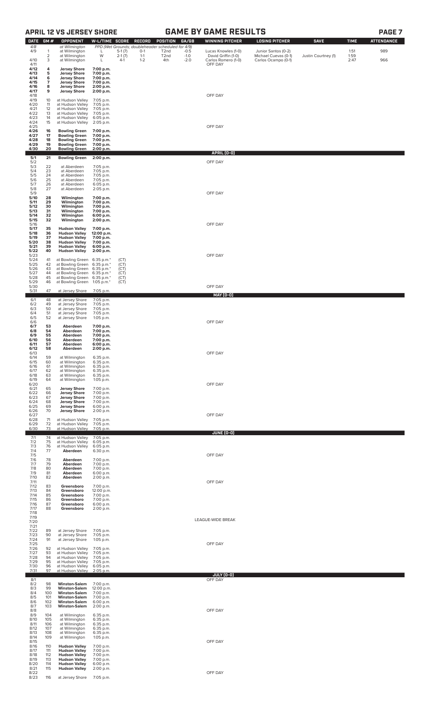## **APRIL 12 VS JERSEY SHORE GAME BY GAME RESULTS**

| <b>DATE</b>          | GM#                 | <b>OPPONENT</b>                                                      | W-L/TIME SCORE                      |                   | <b>RECORD</b>      | POSITION                                                               | GA/GB            | <b>WINNING PITCHER</b>                     | <b>LOSING PITCHER</b>                       | <b>SAVE</b>         | <b>TIME</b>  | <b>ATTENDANCE</b> |
|----------------------|---------------------|----------------------------------------------------------------------|-------------------------------------|-------------------|--------------------|------------------------------------------------------------------------|------------------|--------------------------------------------|---------------------------------------------|---------------------|--------------|-------------------|
| 4/8<br>4/9           | -1                  | at Wilmington<br>at Wilmington                                       | L                                   | $5-1(7)$          | $0 - 1$            | PPD (Wet Grounds; doubleheader scheduled for 4/9)<br>T <sub>2</sub> nd | $-0.5$           | Lucas Knowles (1-0)                        | Junior Santos (0-2)                         |                     | 1:51         | 989               |
| 4/10                 | $\overline{2}$<br>3 | at Wilmington<br>at Wilmington                                       | W<br>L                              | $2-1(7)$<br>$4-1$ | $1 - 1$<br>$1 - 2$ | T <sub>2</sub> nd<br>4th                                               | $-1.0$<br>$-2.0$ | David Griffin (1-0)<br>Carlos Romero (1-0) | Michael Cuevas (0-1)<br>Carlos Ocampo (0-1) | Justin Courtney (1) | 1:59<br>2:47 | 966               |
| 4/11<br>4/12<br>4/13 | 4<br>5              | <b>Jersey Shore</b><br><b>Jersey Shore</b>                           | 7:00 p.m.<br>7:00 p.m.              |                   |                    |                                                                        |                  | OFF DAY                                    |                                             |                     |              |                   |
| 4/14<br>4/15         | 6<br>7              | <b>Jersey Shore</b><br><b>Jersey Shore</b>                           | 7:00 p.m.<br>7:00 p.m.              |                   |                    |                                                                        |                  |                                            |                                             |                     |              |                   |
| 4/16<br>4/17         | 8<br>9              | <b>Jersey Shore</b><br><b>Jersey Shore</b>                           | 2:00 p.m.<br>2:00 p.m.              |                   |                    |                                                                        |                  |                                            |                                             |                     |              |                   |
| 4/18<br>4/19         | 10                  | at Hudson Valley                                                     | 7:05 p.m.                           |                   |                    |                                                                        |                  | OFF DAY                                    |                                             |                     |              |                   |
| 4/20<br>4/21         | 11<br>12            | at Hudson Valley<br>at Hudson Valley                                 | 7:05 p.m.<br>7:05 p.m.              |                   |                    |                                                                        |                  |                                            |                                             |                     |              |                   |
| 4/22<br>4/23         | 13<br>14            | at Hudson Valley<br>at Hudson Valley                                 | 7:05 p.m.<br>6:05 p.m.              |                   |                    |                                                                        |                  |                                            |                                             |                     |              |                   |
| 4/24<br>4/25         | 15                  | at Hudson Valley                                                     | 2:05 p.m.                           |                   |                    |                                                                        |                  | OFF DAY                                    |                                             |                     |              |                   |
| 4/26<br>4/27         | 16<br>17            | <b>Bowling Green</b><br><b>Bowling Green</b>                         | 7:00 p.m.<br>7:00 p.m.              |                   |                    |                                                                        |                  |                                            |                                             |                     |              |                   |
| 4/28<br>4/29         | 18<br>19            | <b>Bowling Green</b><br><b>Bowling Green</b>                         | 7:00 p.m.<br>7:00 p.m.              |                   |                    |                                                                        |                  |                                            |                                             |                     |              |                   |
| 4/30<br>5/1          | 20<br>21            | <b>Bowling Green</b><br><b>Bowling Green</b>                         | 2:00 p.m.<br>2:00 p.m.              |                   |                    |                                                                        |                  | APRIL (0-0)                                |                                             |                     |              |                   |
| 5/2<br>5/3           | 22                  | at Aberdeen                                                          | 7:05 p.m.                           |                   |                    |                                                                        |                  | OFF DAY                                    |                                             |                     |              |                   |
| 5/4<br>5/5           | 23<br>24            | at Aberdeen<br>at Aberdeen                                           | 7:05 p.m.<br>7:05 p.m.              |                   |                    |                                                                        |                  |                                            |                                             |                     |              |                   |
| 5/6<br>5/7           | 25<br>26            | at Aberdeen<br>at Aberdeen                                           | 7:05 p.m.<br>6:05 p.m.              |                   |                    |                                                                        |                  |                                            |                                             |                     |              |                   |
| 5/8<br>5/9           | 27                  | at Aberdeen                                                          | 2:05 p.m.                           |                   |                    |                                                                        |                  | OFF DAY                                    |                                             |                     |              |                   |
| 5/10<br>5/11<br>5/12 | 28<br>29<br>30      | Wilmington<br>Wilmington                                             | 7:00 p.m.<br>7:00 p.m.              |                   |                    |                                                                        |                  |                                            |                                             |                     |              |                   |
| 5/13<br>5/14         | 31<br>32            | Wilmington<br>Wilmington<br>Wilmington                               | 7:00 p.m.<br>7:00 p.m.<br>6:00 p.m. |                   |                    |                                                                        |                  |                                            |                                             |                     |              |                   |
| 5/15<br>5/16         | 32                  | Wilmington                                                           | 2:00 p.m.                           |                   |                    |                                                                        |                  | OFF DAY                                    |                                             |                     |              |                   |
| 5/17<br>5/18         | 35<br>36            | <b>Hudson Valley</b><br><b>Hudson Valley</b>                         | 7:00 p.m.<br>12:00 p.m.             |                   |                    |                                                                        |                  |                                            |                                             |                     |              |                   |
| 5/19<br>5/20         | 37<br>38            | <b>Hudson Valley</b><br><b>Hudson Valley</b>                         | 7:00 p.m.<br>7:00 p.m.              |                   |                    |                                                                        |                  |                                            |                                             |                     |              |                   |
| 5/21<br>5/22         | 39<br>40            | <b>Hudson Valley</b><br><b>Hudson Valley</b>                         | 6:00 p.m.<br>2:00 p.m.              |                   |                    |                                                                        |                  |                                            |                                             |                     |              |                   |
| 5/23<br>5/24<br>5/25 | 41<br>42            | at Bowling Green 6:35 p.m.*<br>at Bowling Green                      | 6:35 p.m.*                          | (CT)<br>(CT)      |                    |                                                                        |                  | OFF DAY                                    |                                             |                     |              |                   |
| 5/26<br>5/27         | 43<br>44            | at Bowling Green<br>at Bowling Green 6:35 p.m.*                      | 6:35 p.m.*                          | (CT)<br>(CT)      |                    |                                                                        |                  |                                            |                                             |                     |              |                   |
| 5/28<br>5/29         | 45<br>46            | at Bowling Green 6:35 p.m.*<br>at Bowling Green 1:05 p.m.*           |                                     | (CT)<br>(CT)      |                    |                                                                        |                  |                                            |                                             |                     |              |                   |
| 5/30<br>5/31         | 47                  | at Jersey Shore                                                      | 7:05 p.m.                           |                   |                    |                                                                        |                  | OFF DAY                                    |                                             |                     |              |                   |
| 6/1                  | 48                  | at Jersey Shore                                                      | 7:05 p.m.                           |                   |                    |                                                                        |                  | <u>MAY (0-0)</u>                           |                                             |                     |              |                   |
| 6/2<br>6/3<br>6/4    | 49<br>50<br>51      | at Jersey Shore<br>at Jersey Shore<br>at Jersey Shore                | 7:05 p.m.<br>7:05 p.m.              |                   |                    |                                                                        |                  |                                            |                                             |                     |              |                   |
| 6/5<br>6/6           | 52                  | at Jersey Shore                                                      | 7:05 p.m.<br>1:05 p.m.              |                   |                    |                                                                        |                  | OFF DAY                                    |                                             |                     |              |                   |
| 6/7<br>6/8           | 53<br>54            | Aberdeen<br>Aberdeen                                                 | 7:00 p.m.<br>7:00 p.m.              |                   |                    |                                                                        |                  |                                            |                                             |                     |              |                   |
| 6/9<br>6/10          | 55<br>56            | Aberdeen<br>Aberdeen                                                 | 7:00 p.m.<br>7:00 p.m.              |                   |                    |                                                                        |                  |                                            |                                             |                     |              |                   |
| 6/11<br>6/12         | 57<br>58            | Aberdeen<br>Aberdeen                                                 | 6:00 p.m.<br>2:00 p.m.              |                   |                    |                                                                        |                  |                                            |                                             |                     |              |                   |
| 6/13<br>6/14         | 59                  | at Wilmington                                                        | 6:35 p.m.                           |                   |                    |                                                                        |                  | OFF DAY                                    |                                             |                     |              |                   |
| 6/15<br>6/16         | 60<br>61            | at Wilmington<br>at Wilmington                                       | 6:35 p.m.<br>6:35 p.m.              |                   |                    |                                                                        |                  |                                            |                                             |                     |              |                   |
| 6/17<br>6/18<br>6/19 | 62<br>63<br>64      | at Wilmington<br>at Wilmington<br>at Wilmington                      | 6:35 p.m.<br>6:35 p.m.<br>1:05 p.m. |                   |                    |                                                                        |                  |                                            |                                             |                     |              |                   |
| 6/20<br>6/21         | 65                  | <b>Jersey Shore</b>                                                  | 7:00 p.m.                           |                   |                    |                                                                        |                  | OFF DAY                                    |                                             |                     |              |                   |
| 6/22<br>6/23         | 66<br>67            | <b>Jersey Shore</b><br><b>Jersey Shore</b>                           | 7:00 p.m.<br>7:00 p.m.              |                   |                    |                                                                        |                  |                                            |                                             |                     |              |                   |
| 6/24<br>6/25         | 68<br>69<br>70      | <b>Jersey Shore</b><br><b>Jersey Shore</b>                           | 7:00 p.m.<br>6:00 p.m.              |                   |                    |                                                                        |                  |                                            |                                             |                     |              |                   |
| 6/26<br>6/27<br>6/28 | 71                  | <b>Jersey Shore</b><br>at Hudson Valley                              | 2:00 p.m.<br>7:05 p.m.              |                   |                    |                                                                        |                  | OFF DAY                                    |                                             |                     |              |                   |
| 6/29<br>6/30         | 72<br>73            | at Hudson Valley<br>at Hudson Valley                                 | 7:05 p.m.<br>7:05 p.m.              |                   |                    |                                                                        |                  |                                            |                                             |                     |              |                   |
| 7/1                  | 74<br>75            | at Hudson Valley                                                     | 7:05 p.m.                           |                   |                    |                                                                        |                  | JUNE (0-0)                                 |                                             |                     |              |                   |
| 7/2<br>7/3<br>7/4    | 76<br>77            | at Hudson Valley<br>at Hudson Valley<br>Aberdeen                     | 6:05 p.m.<br>6:05 p.m.<br>6:30 p.m. |                   |                    |                                                                        |                  |                                            |                                             |                     |              |                   |
| 7/5<br>7/6           | 78                  | Aberdeen                                                             | 7:00 p.m.                           |                   |                    |                                                                        |                  | OFF DAY                                    |                                             |                     |              |                   |
| 7/7<br>7/8           | 79<br>80            | Aberdeen<br>Aberdeen                                                 | 7:00 p.m.<br>7:00 p.m.              |                   |                    |                                                                        |                  |                                            |                                             |                     |              |                   |
| 7/9<br>7/10<br>7/11  | 81<br>82            | Aberdeen<br>Aberdeen                                                 | 6:00 p.m.<br>2:00 p.m.              |                   |                    |                                                                        |                  | OFF DAY                                    |                                             |                     |              |                   |
| 7/12<br>7/13         | 83<br>84            | Greensboro<br>Greensboro                                             | 7:00 p.m.<br>12:00 p.m.             |                   |                    |                                                                        |                  |                                            |                                             |                     |              |                   |
| 7/14<br>7/15         | 85<br>86            | Greensboro<br>Greensboro                                             | 7:00 p.m.<br>7:00 p.m.              |                   |                    |                                                                        |                  |                                            |                                             |                     |              |                   |
| 7/16<br>7/17         | 87<br>88            | Greensboro<br>Greensboro                                             | 6:00 p.m.<br>2:00 p.m.              |                   |                    |                                                                        |                  |                                            |                                             |                     |              |                   |
| 7/18<br>7/19         |                     |                                                                      |                                     |                   |                    |                                                                        |                  | LEAGUE-WIDE BREAK                          |                                             |                     |              |                   |
| 7/20<br>7/21<br>7/22 | 89                  | at Jersey Shore                                                      | 7:05 p.m.                           |                   |                    |                                                                        |                  |                                            |                                             |                     |              |                   |
| 7/23<br>7/24         | 90<br>91            | at Jersey Shore<br>at Jersey Shore                                   | 7:05 p.m.<br>1:05 p.m.              |                   |                    |                                                                        |                  |                                            |                                             |                     |              |                   |
| 7/25<br>7/26         | 92                  | at Hudson Valley                                                     | 7:05 p.m.                           |                   |                    |                                                                        |                  | OFF DAY                                    |                                             |                     |              |                   |
| 7/27<br>7/28         | 93<br>94            | at Hudson Valley<br>at Hudson Valley                                 | 7:05 p.m.<br>7:05 p.m.              |                   |                    |                                                                        |                  |                                            |                                             |                     |              |                   |
| 7/29<br>7/30         | 95<br>96            | at Hudson Valley<br>at Hudson Valley                                 | 7:05 p.m.<br>6:05 p.m.              |                   |                    |                                                                        |                  |                                            |                                             |                     |              |                   |
| 7/31<br>8/1          | 97                  | at Hudson Valley                                                     | 2:05 p.m.                           |                   |                    |                                                                        |                  | JULY (0-0)<br>OFF DAY                      |                                             |                     |              |                   |
| 8/2<br>8/3           | 98<br>99            | <b>Winston-Salem</b><br><b>Winston-Salem</b>                         | 7:00 p.m.<br>12:00 p.m.             |                   |                    |                                                                        |                  |                                            |                                             |                     |              |                   |
| 8/4<br>8/5           | 100<br>101          | <b>Winston-Salem</b><br><b>Winston-Salem</b>                         | 7:00 p.m.<br>7:00 p.m.              |                   |                    |                                                                        |                  |                                            |                                             |                     |              |                   |
| 8/6<br>8/7<br>8/8    | 102<br>103          | <b>Winston-Salem</b><br><b>Winston-Salem</b>                         | 6:00 p.m.<br>2:00 p.m.              |                   |                    |                                                                        |                  | OFF DAY                                    |                                             |                     |              |                   |
| 8/9<br>8/10          | 104<br>105          | at Wilmington<br>at Wilmington                                       | 6:35 p.m.<br>6:35 p.m.              |                   |                    |                                                                        |                  |                                            |                                             |                     |              |                   |
| 8/11<br>8/12         | 106<br>107          | at Wilmington<br>at Wilmington                                       | 6:35 p.m.<br>6:35 p.m.              |                   |                    |                                                                        |                  |                                            |                                             |                     |              |                   |
| 8/13<br>8/14         | 108<br>109          | at Wilmington<br>at Wilmington                                       | 6:35 p.m.<br>$1:05$ p.m.            |                   |                    |                                                                        |                  |                                            |                                             |                     |              |                   |
| 8/15<br>8/16         | 110                 | <b>Hudson Valley</b>                                                 | 7:00 p.m.                           |                   |                    |                                                                        |                  | OFF DAY                                    |                                             |                     |              |                   |
| 8/17<br>8/18<br>8/19 | 111<br>112<br>113   | <b>Hudson Valley</b><br><b>Hudson Valley</b><br><b>Hudson Valley</b> | 7:00 p.m.<br>7:00 p.m.<br>7:00 p.m. |                   |                    |                                                                        |                  |                                            |                                             |                     |              |                   |
| 8/20<br>8/21         | 114<br>115          | <b>Hudson Valley</b><br><b>Hudson Valley</b>                         | 6:00 p.m.<br>2:00 p.m.              |                   |                    |                                                                        |                  |                                            |                                             |                     |              |                   |
| 8/22<br>8/23         | 116                 | at Jersey Shore                                                      | 7:05 p.m.                           |                   |                    |                                                                        |                  | OFF DAY                                    |                                             |                     |              |                   |